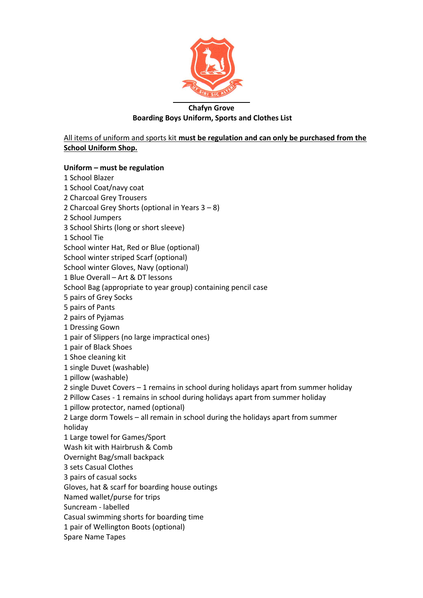

# **Chafyn Grove Boarding Boys Uniform, Sports and Clothes List**

All items of uniform and sports kit **must be regulation and can only be purchased from the School Uniform Shop.**

## **Uniform – must be regulation**

1 School Blazer 1 School Coat/navy coat 2 Charcoal Grey Trousers 2 Charcoal Grey Shorts (optional in Years 3 – 8) 2 School Jumpers 3 School Shirts (long or short sleeve) 1 School Tie School winter Hat, Red or Blue (optional) School winter striped Scarf (optional) School winter Gloves, Navy (optional) 1 Blue Overall – Art & DT lessons School Bag (appropriate to year group) containing pencil case 5 pairs of Grey Socks 5 pairs of Pants 2 pairs of Pyjamas 1 Dressing Gown 1 pair of Slippers (no large impractical ones) 1 pair of Black Shoes 1 Shoe cleaning kit 1 single Duvet (washable) 1 pillow (washable) 2 single Duvet Covers – 1 remains in school during holidays apart from summer holiday 2 Pillow Cases - 1 remains in school during holidays apart from summer holiday 1 pillow protector, named (optional) 2 Large dorm Towels – all remain in school during the holidays apart from summer holiday 1 Large towel for Games/Sport Wash kit with Hairbrush & Comb Overnight Bag/small backpack 3 sets Casual Clothes 3 pairs of casual socks Gloves, hat & scarf for boarding house outings Named wallet/purse for trips Suncream - labelled Casual swimming shorts for boarding time 1 pair of Wellington Boots (optional) Spare Name Tapes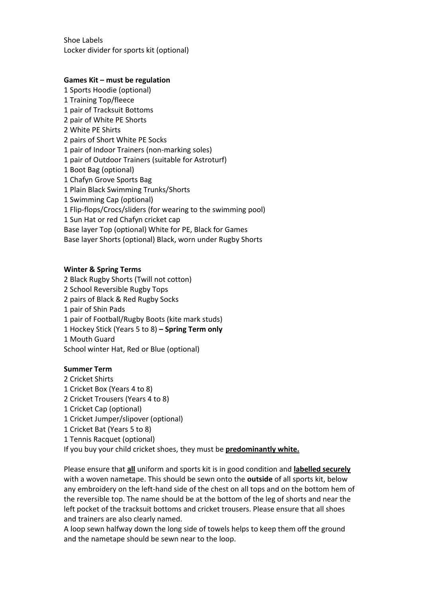Shoe Labels Locker divider for sports kit (optional)

#### **Games Kit – must be regulation**

1 Sports Hoodie (optional) 1 Training Top/fleece 1 pair of Tracksuit Bottoms 2 pair of White PE Shorts 2 White PE Shirts 2 pairs of Short White PE Socks 1 pair of Indoor Trainers (non-marking soles) 1 pair of Outdoor Trainers (suitable for Astroturf) 1 Boot Bag (optional) 1 Chafyn Grove Sports Bag 1 Plain Black Swimming Trunks/Shorts 1 Swimming Cap (optional) 1 Flip-flops/Crocs/sliders (for wearing to the swimming pool) 1 Sun Hat or red Chafyn cricket cap Base layer Top (optional) White for PE, Black for Games Base layer Shorts (optional) Black, worn under Rugby Shorts

#### **Winter & Spring Terms**

 Black Rugby Shorts (Twill not cotton) School Reversible Rugby Tops pairs of Black & Red Rugby Socks pair of Shin Pads pair of Football/Rugby Boots (kite mark studs) Hockey Stick (Years 5 to 8) **– Spring Term only** Mouth Guard School winter Hat, Red or Blue (optional)

## **Summer Term**

- 2 Cricket Shirts
- 1 Cricket Box (Years 4 to 8)
- 2 Cricket Trousers (Years 4 to 8)
- 1 Cricket Cap (optional)
- 1 Cricket Jumper/slipover (optional)
- 1 Cricket Bat (Years 5 to 8)
- 1 Tennis Racquet (optional)

If you buy your child cricket shoes, they must be **predominantly white.**

Please ensure that **all** uniform and sports kit is in good condition and **labelled securely** with a woven nametape. This should be sewn onto the **outside** of all sports kit, below any embroidery on the left-hand side of the chest on all tops and on the bottom hem of the reversible top. The name should be at the bottom of the leg of shorts and near the left pocket of the tracksuit bottoms and cricket trousers. Please ensure that all shoes and trainers are also clearly named.

A loop sewn halfway down the long side of towels helps to keep them off the ground and the nametape should be sewn near to the loop.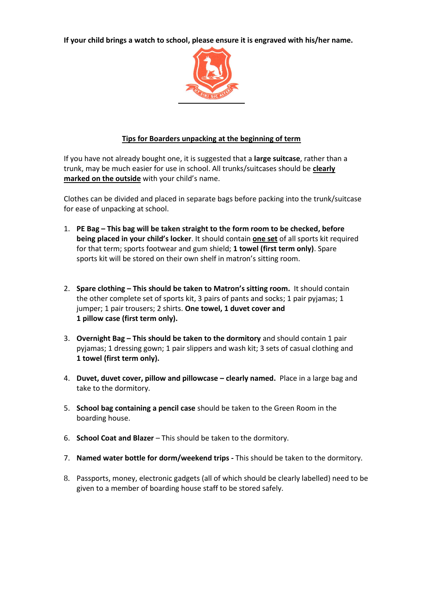**If your child brings a watch to school, please ensure it is engraved with his/her name.**



## **Tips for Boarders unpacking at the beginning of term**

If you have not already bought one, it is suggested that a **large suitcase**, rather than a trunk, may be much easier for use in school. All trunks/suitcases should be **clearly marked on the outside** with your child's name.

Clothes can be divided and placed in separate bags before packing into the trunk/suitcase for ease of unpacking at school.

- 1. **PE Bag – This bag will be taken straight to the form room to be checked, before being placed in your child's locker**. It should contain **one set** of all sports kit required for that term; sports footwear and gum shield; **1 towel (first term only)**. Spare sports kit will be stored on their own shelf in matron's sitting room.
- 2. **Spare clothing – This should be taken to Matron's sitting room.** It should contain the other complete set of sports kit, 3 pairs of pants and socks; 1 pair pyjamas; 1 jumper; 1 pair trousers; 2 shirts. **One towel, 1 duvet cover and 1 pillow case (first term only).**
- 3. **Overnight Bag – This should be taken to the dormitory** and should contain 1 pair pyjamas; 1 dressing gown; 1 pair slippers and wash kit; 3 sets of casual clothing and **1 towel (first term only).**
- 4. **Duvet, duvet cover, pillow and pillowcase – clearly named.** Place in a large bag and take to the dormitory.
- 5. **School bag containing a pencil case** should be taken to the Green Room in the boarding house.
- 6. **School Coat and Blazer**  This should be taken to the dormitory.
- 7. **Named water bottle for dorm/weekend trips -** This should be taken to the dormitory.
- 8. Passports, money, electronic gadgets (all of which should be clearly labelled) need to be given to a member of boarding house staff to be stored safely.